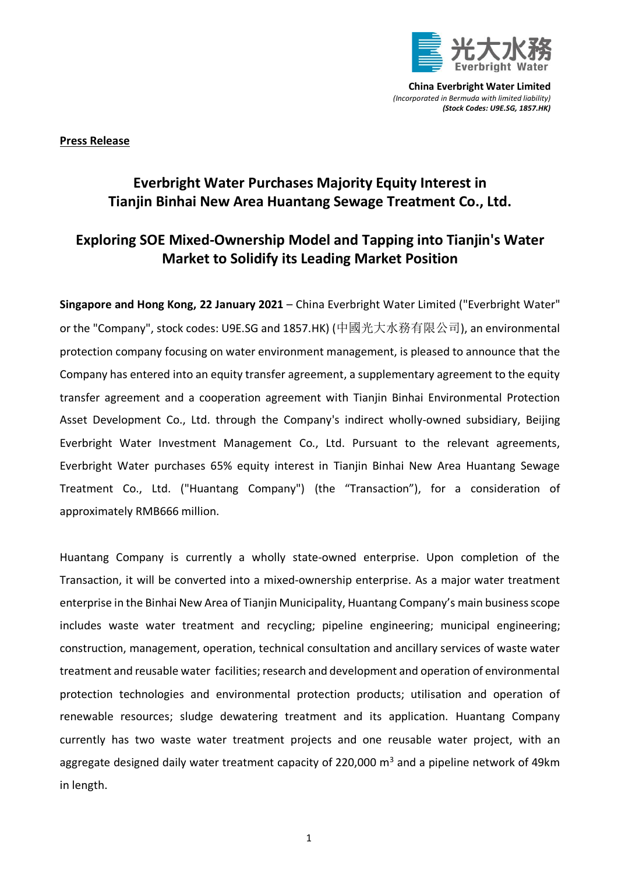

**China Everbright Water Limited** *(Incorporated in Bermuda with limited liability) (Stock Codes: U9E.SG, 1857.HK)*

**Press Release**

## **Everbright Water Purchases Majority Equity Interest in Tianjin Binhai New Area Huantang Sewage Treatment Co., Ltd.**

## **Exploring SOE Mixed-Ownership Model and Tapping into Tianjin's Water Market to Solidify its Leading Market Position**

**Singapore and Hong Kong, 22 January 2021** – China Everbright Water Limited ("Everbright Water" or the "Company", stock codes: U9E.SG and 1857.HK) (中國光大水務有限公司), an environmental protection company focusing on water environment management, is pleased to announce that the Company has entered into an equity transfer agreement, a supplementary agreement to the equity transfer agreement and a cooperation agreement with Tianjin Binhai Environmental Protection Asset Development Co., Ltd. through the Company's indirect wholly-owned subsidiary, Beijing Everbright Water Investment Management Co., Ltd. Pursuant to the relevant agreements, Everbright Water purchases 65% equity interest in Tianjin Binhai New Area Huantang Sewage Treatment Co., Ltd. ("Huantang Company") (the "Transaction"), for a consideration of approximately RMB666 million.

Huantang Company is currently a wholly state-owned enterprise. Upon completion of the Transaction, it will be converted into a mixed-ownership enterprise. As a major water treatment enterprise in the Binhai New Area of Tianjin Municipality, Huantang Company's main business scope includes waste water treatment and recycling; pipeline engineering; municipal engineering; construction, management, operation, technical consultation and ancillary services of waste water treatment and reusable water facilities; research and development and operation of environmental protection technologies and environmental protection products; utilisation and operation of renewable resources; sludge dewatering treatment and its application. Huantang Company currently has two waste water treatment projects and one reusable water project, with an aggregate designed daily water treatment capacity of 220,000  $\mathrm{m}^3$  and a pipeline network of 49km in length.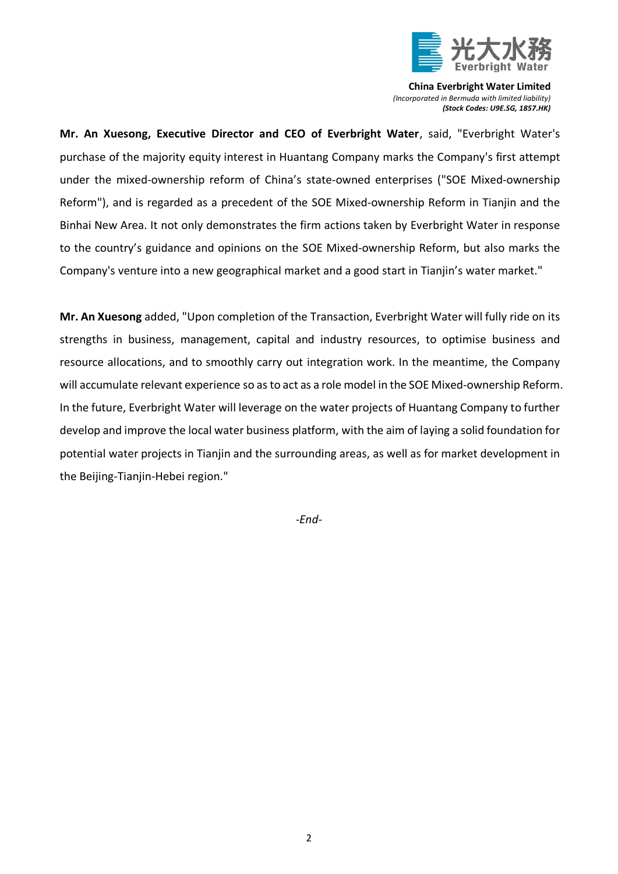

**China Everbright Water Limited** *(Incorporated in Bermuda with limited liability) (Stock Codes: U9E.SG, 1857.HK)*

**Mr. An Xuesong, Executive Director and CEO of Everbright Water**, said, "Everbright Water's purchase of the majority equity interest in Huantang Company marks the Company's first attempt under the mixed-ownership reform of China's state-owned enterprises ("SOE Mixed-ownership Reform"), and is regarded as a precedent of the SOE Mixed-ownership Reform in Tianjin and the Binhai New Area. It not only demonstrates the firm actions taken by Everbright Water in response to the country's guidance and opinions on the SOE Mixed-ownership Reform, but also marks the Company's venture into a new geographical market and a good start in Tianjin's water market."

**Mr. An Xuesong** added, "Upon completion of the Transaction, Everbright Water will fully ride on its strengths in business, management, capital and industry resources, to optimise business and resource allocations, and to smoothly carry out integration work. In the meantime, the Company will accumulate relevant experience so as to act as a role model in the SOE Mixed-ownership Reform. In the future, Everbright Water will leverage on the water projects of Huantang Company to further develop and improve the local water business platform, with the aim of laying a solid foundation for potential water projects in Tianjin and the surrounding areas, as well as for market development in the Beijing-Tianjin-Hebei region."

*-End-*